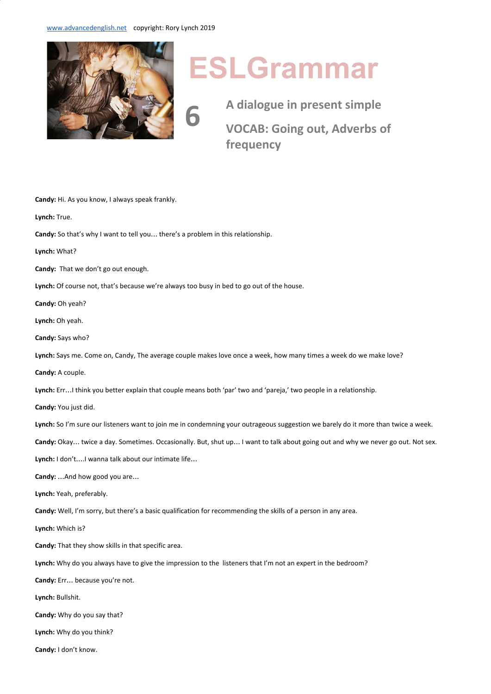**6**



## **ESLGrammar**

**A dialogue in present simple VOCAB: Going out, Adverbs of frequency**

**Candy:** Hi. As you know, I always speak frankly. **Lynch:** True. **Candy:** So that's why I want to tell you… there's a problem in this relationship. **Lynch:** What? **Candy:** That we don't go out enough. Lynch: Of course not, that's because we're always too busy in bed to go out of the house. **Candy:** Oh yeah? **Lynch:** Oh yeah. **Candy:** Says who? **Lynch:** Says me. Come on, Candy, The average couple makes love once a week, how many times a week do we make love? **Candy:** A couple. **Lynch:** Err…I think you better explain that couple means both 'par' two and 'pareja,' two people in a relationship. **Candy:** You just did. **Lynch:** So I'm sure our listeners want to join me in condemning your outrageous suggestion we barely do it more than twice a week. **Candy:** Okay… twice a day. Sometimes. Occasionally. But, shut up… I want to talk about going out and why we never go out. Not sex. **Lynch:** I don't….I wanna talk about our intimate life… **Candy:** …And how good you are… **Lynch:** Yeah, preferably. **Candy:** Well, I'm sorry, but there's a basic qualification for recommending the skills of a person in any area. **Lynch:** Which is? **Candy:** That they show skills in that specific area. **Lynch:** Why do you always have to give the impression to the listeners that I'm not an expert in the bedroom? **Candy:** Err… because you're not. **Lynch:** Bullshit. **Candy:** Why do you say that? **Lynch:** Why do you think? **Candy:** I don't know.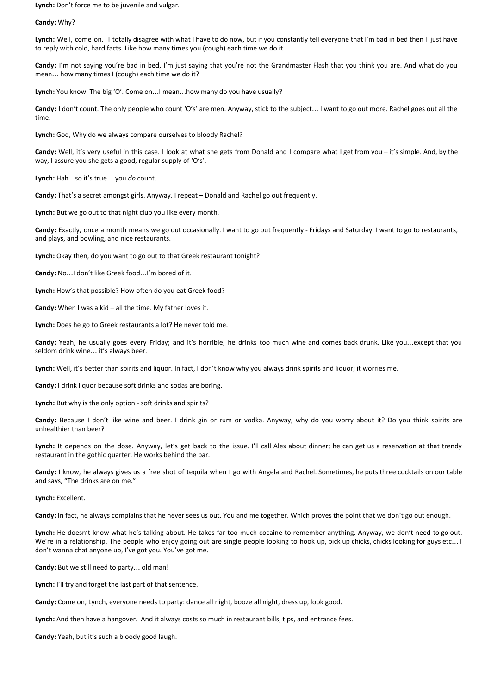**Lynch:** Don't force me to be juvenile and vulgar.

**Candy:** Why?

Lynch: Well, come on. I totally disagree with what I have to do now, but if you constantly tell everyone that I'm bad in bed then I just have to reply with cold, hard facts. Like how many times you (cough) each time we do it.

**Candy:** I'm not saying you're bad in bed, I'm just saying that you're not the Grandmaster Flash that you think you are. And what do you mean… how many times I (cough) each time we do it?

**Lynch:** You know. The big 'O'. Come on…I mean…how many do you have usually?

**Candy:** I don't count. The only people who count 'O's' are men. Anyway, stick to the subject… I want to go out more. Rachel goes out all the time.

**Lynch:** God, Why do we always compare ourselves to bloody Rachel?

Candy: Well, it's very useful in this case. I look at what she gets from Donald and I compare what I get from you - it's simple. And, by the way, I assure you she gets a good, regular supply of 'O's'.

**Lynch:** Hah…so it's true… you *do* count.

**Candy:** That's a secret amongst girls. Anyway, I repeat – Donald and Rachel go out frequently.

Lynch: But we go out to that night club you like every month.

**Candy:** Exactly, once a month means we go out occasionally. I want to go out frequently - Fridays and Saturday. I want to go to restaurants, and plays, and bowling, and nice restaurants.

**Lynch:** Okay then, do you want to go out to that Greek restaurant tonight?

**Candy:** No…I don't like Greek food…I'm bored of it.

**Lynch:** How's that possible? How often do you eat Greek food?

**Candy:** When I was a kid – all the time. My father loves it.

**Lynch:** Does he go to Greek restaurants a lot? He never told me.

**Candy:** Yeah, he usually goes every Friday; and it's horrible; he drinks too much wine and comes back drunk. Like you…except that you seldom drink wine… it's always beer.

**Lynch:** Well, it's better than spirits and liquor. In fact, I don't know why you always drink spirits and liquor; it worries me.

**Candy:** I drink liquor because soft drinks and sodas are boring.

**Lynch:** But why is the only option - soft drinks and spirits?

**Candy:** Because I don't like wine and beer. I drink gin or rum or vodka. Anyway, why do you worry about it? Do you think spirits are unhealthier than beer?

**Lynch:** It depends on the dose. Anyway, let's get back to the issue. I'll call Alex about dinner; he can get us a reservation at that trendy restaurant in the gothic quarter. He works behind the bar.

**Candy:** I know, he always gives us a free shot of tequila when I go with Angela and Rachel. Sometimes, he puts three cocktails on our table and says, "The drinks are on me."

**Lynch:** Excellent.

**Candy:** In fact, he always complains that he never sees us out. You and me together. Which proves the point that we don't go out enough.

**Lynch:** He doesn't know what he's talking about. He takes far too much cocaine to remember anything. Anyway, we don't need to go out. We're in a relationship. The people who enjoy going out are single people looking to hook up, pick up chicks, chicks looking for guys etc… I don't wanna chat anyone up, I've got you. You've got me.

**Candy:** But we still need to party… old man!

**Lynch:** I'll try and forget the last part of that sentence.

**Candy:** Come on, Lynch, everyone needs to party: dance all night, booze all night, dress up, look good.

**Lynch:** And then have a hangover. And it always costs so much in restaurant bills, tips, and entrance fees.

**Candy:** Yeah, but it's such a bloody good laugh.